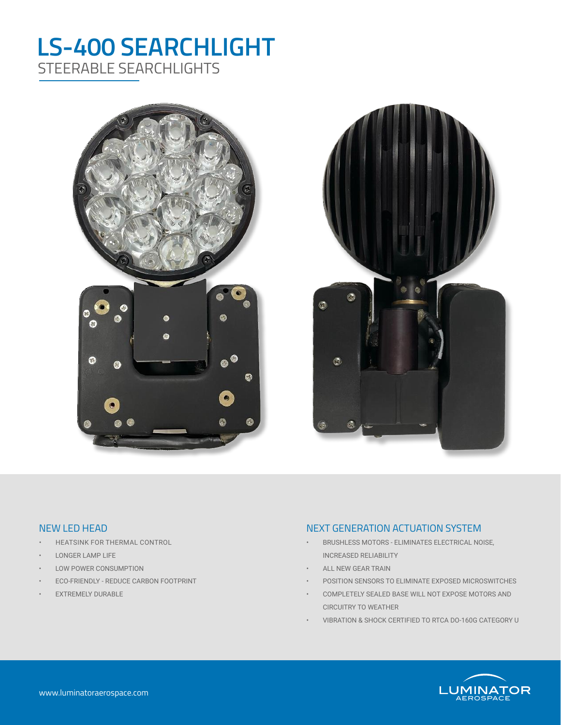# **LS-400 SEARCHLIGHT** STEERABLE SEARCHLIGHTS





### NEW LED HEAD

- HEATSINK FOR THERMAL CONTROL
- LONGER LAMP LIFE
- LOW POWER CONSUMPTION
- ECO-FRIENDLY REDUCE CARBON FOOTPRINT
- EXTREMELY DURABLE

#### NEXT GENERATION ACTUATION SYSTEM

- BRUSHLESS MOTORS ELIMINATES ELECTRICAL NOISE, INCREASED RELIABILITY
- ALL NEW GEAR TRAIN
- POSITION SENSORS TO ELIMINATE EXPOSED MICROSWITCHES
- COMPLETELY SEALED BASE WILL NOT EXPOSE MOTORS AND CIRCUITRY TO WEATHER
- VIBRATION & SHOCK CERTIFIED TO RTCA DO-160G CATEGORY U